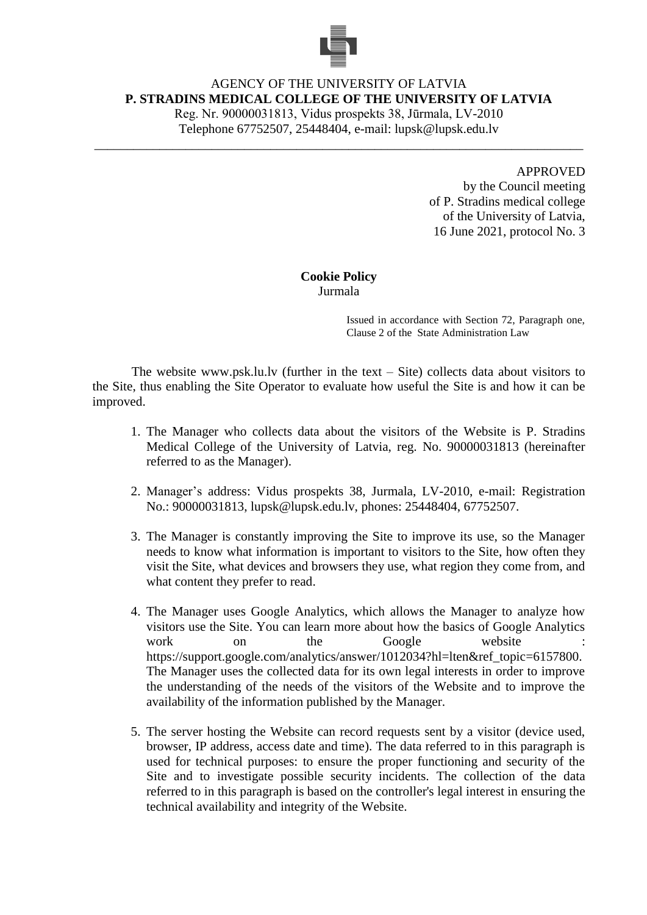

## AGENCY OF THE UNIVERSITY OF LATVIA **P. STRADINS MEDICAL COLLEGE OF THE UNIVERSITY OF LATVIA**

Reg. Nr. 90000031813, Vidus prospekts 38, Jūrmala, LV-2010 Telephone 67752507, 25448404, e-mail: lupsk@lupsk.edu.lv

\_\_\_\_\_\_\_\_\_\_\_\_\_\_\_\_\_\_\_\_\_\_\_\_\_\_\_\_\_\_\_\_\_\_\_\_\_\_\_\_\_\_\_\_\_\_\_\_\_\_\_\_\_\_\_\_\_\_\_\_\_\_\_\_\_\_\_\_\_\_\_\_\_\_\_

## APPROVED

by the Council meeting of P. Stradins medical college of the University of Latvia, 16 June 2021, protocol No. 3

## **Cookie Policy** Jurmala

Issued in accordance with Section 72, Paragraph one, Clause 2 of the State Administration Law

The website www.psk.lu.lv (further in the text  $-$  Site) collects data about visitors to the Site, thus enabling the Site Operator to evaluate how useful the Site is and how it can be improved.

- 1. The Manager who collects data about the visitors of the Website is P. Stradins Medical College of the University of Latvia, reg. No. 90000031813 (hereinafter referred to as the Manager).
- 2. Manager's address: Vidus prospekts 38, Jurmala, LV-2010, e-mail: Registration No.: 90000031813, lupsk@lupsk.edu.lv, phones: 25448404, 67752507.
- 3. The Manager is constantly improving the Site to improve its use, so the Manager needs to know what information is important to visitors to the Site, how often they visit the Site, what devices and browsers they use, what region they come from, and what content they prefer to read.
- 4. The Manager uses Google Analytics, which allows the Manager to analyze how visitors use the Site. You can learn more about how the basics of Google Analytics work on the Google website : https://support.google.com/analytics/answer/1012034?hl=lten&ref\_topic=6157800. The Manager uses the collected data for its own legal interests in order to improve the understanding of the needs of the visitors of the Website and to improve the availability of the information published by the Manager.
- 5. The server hosting the Website can record requests sent by a visitor (device used, browser, IP address, access date and time). The data referred to in this paragraph is used for technical purposes: to ensure the proper functioning and security of the Site and to investigate possible security incidents. The collection of the data referred to in this paragraph is based on the controller's legal interest in ensuring the technical availability and integrity of the Website.